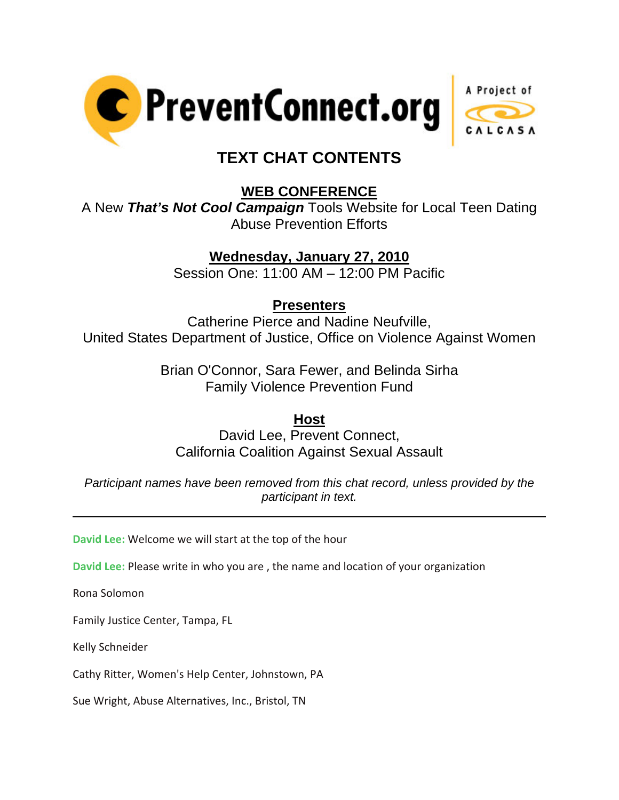



# **TEXT CHAT CONTENTS**

### **WEB CONFERENCE**

A New *That's Not Cool Campaign* Tools Website for Local Teen Dating Abuse Prevention Efforts

## **Wednesday, January 27, 2010**

Session One: 11:00 AM – 12:00 PM Pacific

### **Presenters**

Catherine Pierce and Nadine Neufville, United States Department of Justice, Office on Violence Against Women

> Brian O'Connor, Sara Fewer, and Belinda Sirha Family Violence Prevention Fund

#### **Host**

David Lee, Prevent Connect, California Coalition Against Sexual Assault

*Participant names have been removed from this chat record, unless provided by the participant in text.* 

**David Lee:** Welcome we will start at the top of the hour

**David Lee:** Please write in who you are , the name and location of your organization

Rona Solomon

l

Family Justice Center, Tampa, FL

Kelly Schneider

Cathy Ritter, Women's Help Center, Johnstown, PA

Sue Wright, Abuse Alternatives, Inc., Bristol, TN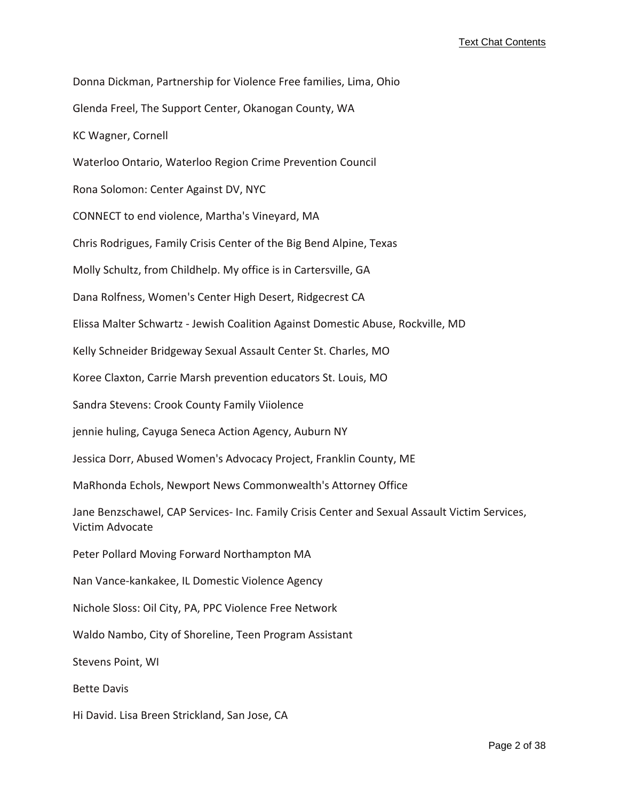Donna Dickman, Partnership for Violence Free families, Lima, Ohio Glenda Freel, The Support Center, Okanogan County, WA KC Wagner, Cornell Waterloo Ontario, Waterloo Region Crime Prevention Council Rona Solomon: Center Against DV, NYC CONNECT to end violence, Martha's Vineyard, MA Chris Rodrigues, Family Crisis Center of the Big Bend Alpine, Texas Molly Schultz, from Childhelp. My office is in Cartersville, GA Dana Rolfness, Women's Center High Desert, Ridgecrest CA Elissa Malter Schwartz ‐ Jewish Coalition Against Domestic Abuse, Rockville, MD Kelly Schneider Bridgeway Sexual Assault Center St. Charles, MO Koree Claxton, Carrie Marsh prevention educators St. Louis, MO Sandra Stevens: Crook County Family Viiolence jennie huling, Cayuga Seneca Action Agency, Auburn NY Jessica Dorr, Abused Women's Advocacy Project, Franklin County, ME MaRhonda Echols, Newport News Commonwealth's Attorney Office Jane Benzschawel, CAP Services‐ Inc. Family Crisis Center and Sexual Assault Victim Services, Victim Advocate Peter Pollard Moving Forward Northampton MA Nan Vance‐kankakee, IL Domestic Violence Agency Nichole Sloss: Oil City, PA, PPC Violence Free Network Waldo Nambo, City of Shoreline, Teen Program Assistant Stevens Point, WI Bette Davis Hi David. Lisa Breen Strickland, San Jose, CA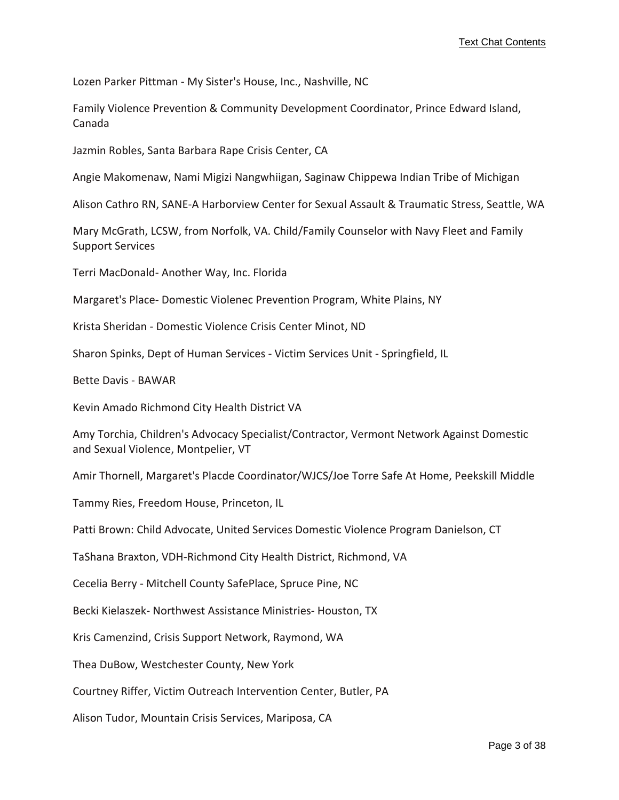Lozen Parker Pittman ‐ My Sister's House, Inc., Nashville, NC

Family Violence Prevention & Community Development Coordinator, Prince Edward Island, Canada

Jazmin Robles, Santa Barbara Rape Crisis Center, CA

Angie Makomenaw, Nami Migizi Nangwhiigan, Saginaw Chippewa Indian Tribe of Michigan

Alison Cathro RN, SANE‐A Harborview Center for Sexual Assault & Traumatic Stress, Seattle, WA

Mary McGrath, LCSW, from Norfolk, VA. Child/Family Counselor with Navy Fleet and Family Support Services

Terri MacDonald‐ Another Way, Inc. Florida

Margaret's Place‐ Domestic Violenec Prevention Program, White Plains, NY

Krista Sheridan ‐ Domestic Violence Crisis Center Minot, ND

Sharon Spinks, Dept of Human Services ‐ Victim Services Unit ‐ Springfield, IL

Bette Davis ‐ BAWAR

Kevin Amado Richmond City Health District VA

Amy Torchia, Children's Advocacy Specialist/Contractor, Vermont Network Against Domestic and Sexual Violence, Montpelier, VT

Amir Thornell, Margaret's Placde Coordinator/WJCS/Joe Torre Safe At Home, Peekskill Middle

Tammy Ries, Freedom House, Princeton, IL

Patti Brown: Child Advocate, United Services Domestic Violence Program Danielson, CT

TaShana Braxton, VDH‐Richmond City Health District, Richmond, VA

Cecelia Berry ‐ Mitchell County SafePlace, Spruce Pine, NC

Becki Kielaszek‐ Northwest Assistance Ministries‐ Houston, TX

Kris Camenzind, Crisis Support Network, Raymond, WA

Thea DuBow, Westchester County, New York

Courtney Riffer, Victim Outreach Intervention Center, Butler, PA

Alison Tudor, Mountain Crisis Services, Mariposa, CA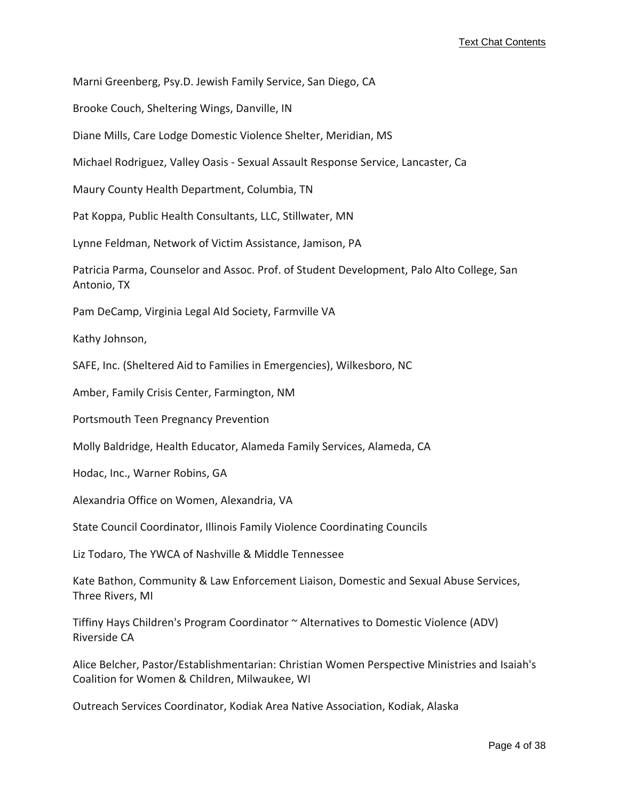Marni Greenberg, Psy.D. Jewish Family Service, San Diego, CA

Brooke Couch, Sheltering Wings, Danville, IN

Diane Mills, Care Lodge Domestic Violence Shelter, Meridian, MS

Michael Rodriguez, Valley Oasis ‐ Sexual Assault Response Service, Lancaster, Ca

Maury County Health Department, Columbia, TN

Pat Koppa, Public Health Consultants, LLC, Stillwater, MN

Lynne Feldman, Network of Victim Assistance, Jamison, PA

Patricia Parma, Counselor and Assoc. Prof. of Student Development, Palo Alto College, San Antonio, TX

Pam DeCamp, Virginia Legal AId Society, Farmville VA

Kathy Johnson,

SAFE, Inc. (Sheltered Aid to Families in Emergencies), Wilkesboro, NC

Amber, Family Crisis Center, Farmington, NM

Portsmouth Teen Pregnancy Prevention

Molly Baldridge, Health Educator, Alameda Family Services, Alameda, CA

Hodac, Inc., Warner Robins, GA

Alexandria Office on Women, Alexandria, VA

State Council Coordinator, Illinois Family Violence Coordinating Councils

Liz Todaro, The YWCA of Nashville & Middle Tennessee

Kate Bathon, Community & Law Enforcement Liaison, Domestic and Sexual Abuse Services, Three Rivers, MI

Tiffiny Hays Children's Program Coordinator ~ Alternatives to Domestic Violence (ADV) Riverside CA

Alice Belcher, Pastor/Establishmentarian: Christian Women Perspective Ministries and Isaiah's Coalition for Women & Children, Milwaukee, WI

Outreach Services Coordinator, Kodiak Area Native Association, Kodiak, Alaska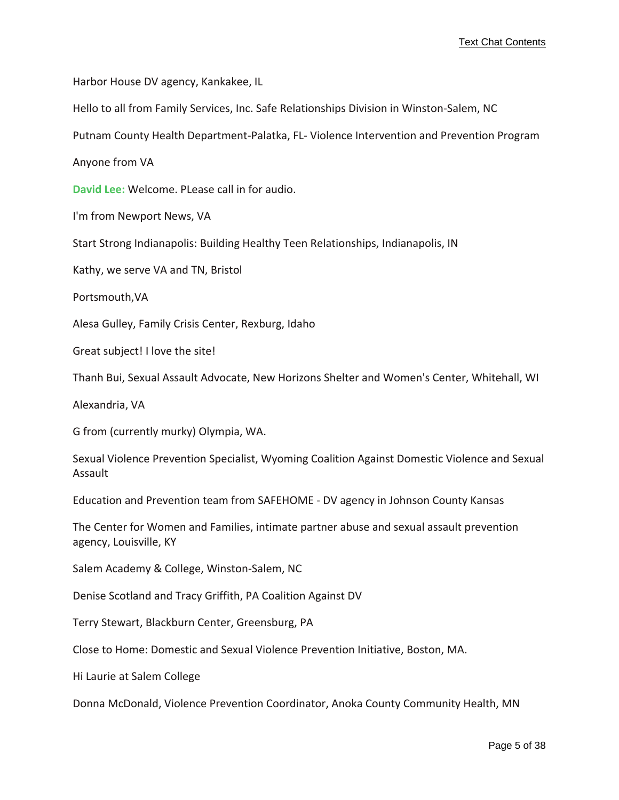Harbor House DV agency, Kankakee, IL

Hello to all from Family Services, Inc. Safe Relationships Division in Winston‐Salem, NC

Putnam County Health Department‐Palatka, FL‐ Violence Intervention and Prevention Program

Anyone from VA

**David Lee:** Welcome. PLease call in for audio.

I'm from Newport News, VA

Start Strong Indianapolis: Building Healthy Teen Relationships, Indianapolis, IN

Kathy, we serve VA and TN, Bristol

Portsmouth,VA

Alesa Gulley, Family Crisis Center, Rexburg, Idaho

Great subject! I love the site!

Thanh Bui, Sexual Assault Advocate, New Horizons Shelter and Women's Center, Whitehall, WI

Alexandria, VA

G from (currently murky) Olympia, WA.

Sexual Violence Prevention Specialist, Wyoming Coalition Against Domestic Violence and Sexual Assault

Education and Prevention team from SAFEHOME ‐ DV agency in Johnson County Kansas

The Center for Women and Families, intimate partner abuse and sexual assault prevention agency, Louisville, KY

Salem Academy & College, Winston‐Salem, NC

Denise Scotland and Tracy Griffith, PA Coalition Against DV

Terry Stewart, Blackburn Center, Greensburg, PA

Close to Home: Domestic and Sexual Violence Prevention Initiative, Boston, MA.

Hi Laurie at Salem College

Donna McDonald, Violence Prevention Coordinator, Anoka County Community Health, MN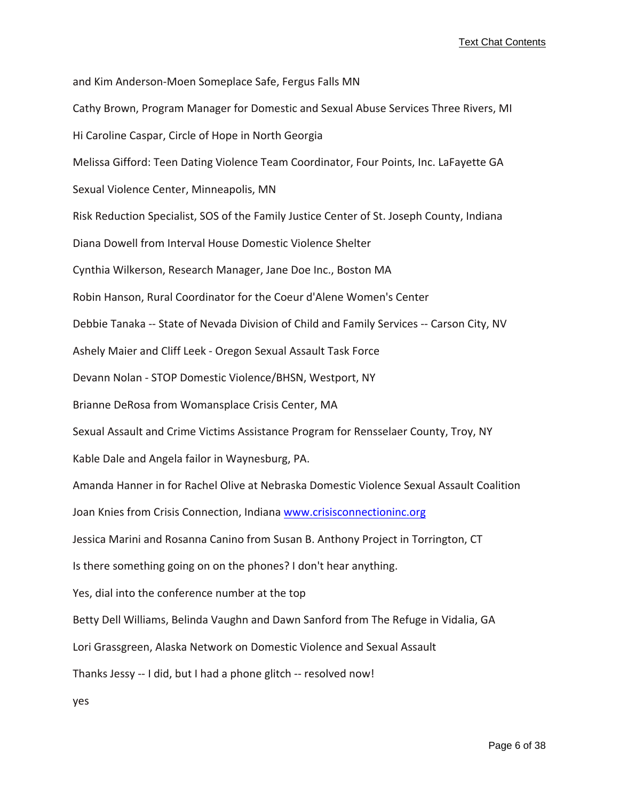and Kim Anderson‐Moen Someplace Safe, Fergus Falls MN Cathy Brown, Program Manager for Domestic and Sexual Abuse Services Three Rivers, MI Hi Caroline Caspar, Circle of Hope in North Georgia Melissa Gifford: Teen Dating Violence Team Coordinator, Four Points, Inc. LaFayette GA Sexual Violence Center, Minneapolis, MN Risk Reduction Specialist, SOS of the Family Justice Center of St. Joseph County, Indiana Diana Dowell from Interval House Domestic Violence Shelter Cynthia Wilkerson, Research Manager, Jane Doe Inc., Boston MA Robin Hanson, Rural Coordinator for the Coeur d'Alene Women's Center Debbie Tanaka ‐‐ State of Nevada Division of Child and Family Services ‐‐ Carson City, NV Ashely Maier and Cliff Leek ‐ Oregon Sexual Assault Task Force Devann Nolan ‐ STOP Domestic Violence/BHSN, Westport, NY Brianne DeRosa from Womansplace Crisis Center, MA Sexual Assault and Crime Victims Assistance Program for Rensselaer County, Troy, NY Kable Dale and Angela failor in Waynesburg, PA. Amanda Hanner in for Rachel Olive at Nebraska Domestic Violence Sexual Assault Coalition Joan Knies from Crisis Connection, Indiana <www.crisisconnectioninc.org> Jessica Marini and Rosanna Canino from Susan B. Anthony Project in Torrington, CT Is there something going on on the phones? I don't hear anything. Yes, dial into the conference number at the top Betty Dell Williams, Belinda Vaughn and Dawn Sanford from The Refuge in Vidalia, GA Lori Grassgreen, Alaska Network on Domestic Violence and Sexual Assault Thanks Jessy ‐‐ I did, but I had a phone glitch ‐‐ resolved now! yes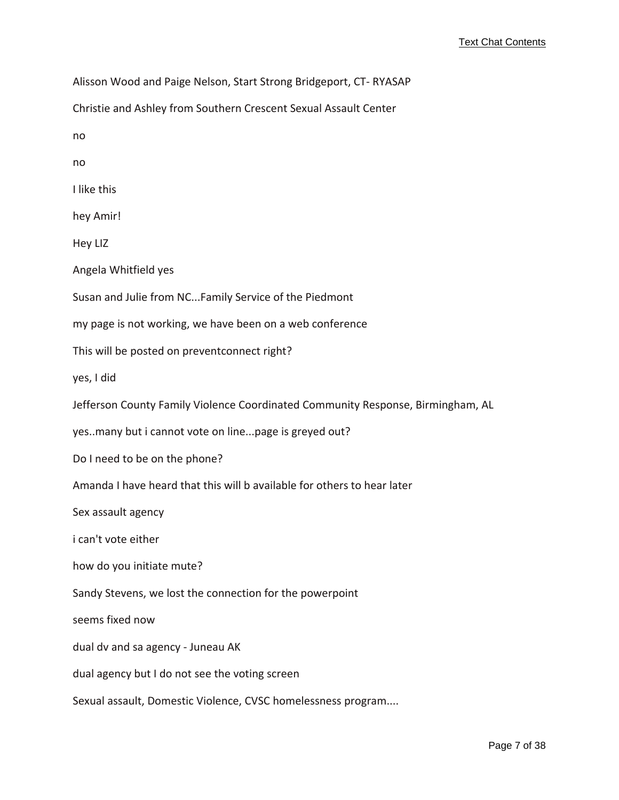Alisson Wood and Paige Nelson, Start Strong Bridgeport, CT‐ RYASAP Christie and Ashley from Southern Crescent Sexual Assault Center no no I like this hey Amir! Hey LIZ Angela Whitfield yes Susan and Julie from NC...Family Service of the Piedmont my page is not working, we have been on a web conference This will be posted on preventconnect right? yes, I did Jefferson County Family Violence Coordinated Community Response, Birmingham, AL yes..many but i cannot vote on line...page is greyed out? Do I need to be on the phone? Amanda I have heard that this will b available for others to hear later Sex assault agency i can't vote either how do you initiate mute? Sandy Stevens, we lost the connection for the powerpoint seems fixed now dual dv and sa agency ‐ Juneau AK dual agency but I do not see the voting screen Sexual assault, Domestic Violence, CVSC homelessness program....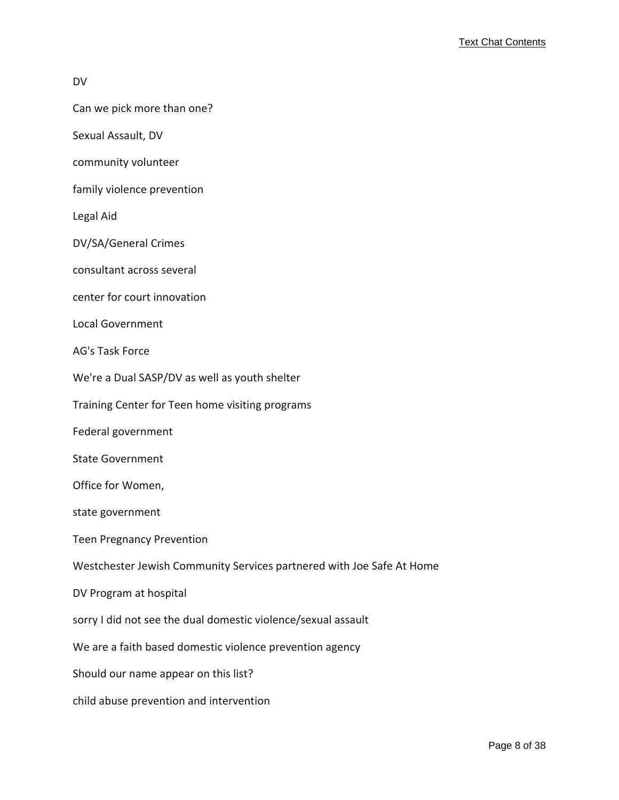#### DV

- Can we pick more than one?
- Sexual Assault, DV
- community volunteer
- family violence prevention

Legal Aid

- DV/SA/General Crimes
- consultant across several
- center for court innovation
- Local Government
- AG's Task Force
- We're a Dual SASP/DV as well as youth shelter
- Training Center for Teen home visiting programs
- Federal government
- State Government
- Office for Women,
- state government
- Teen Pregnancy Prevention
- Westchester Jewish Community Services partnered with Joe Safe At Home
- DV Program at hospital
- sorry I did not see the dual domestic violence/sexual assault
- We are a faith based domestic violence prevention agency
- Should our name appear on this list?
- child abuse prevention and intervention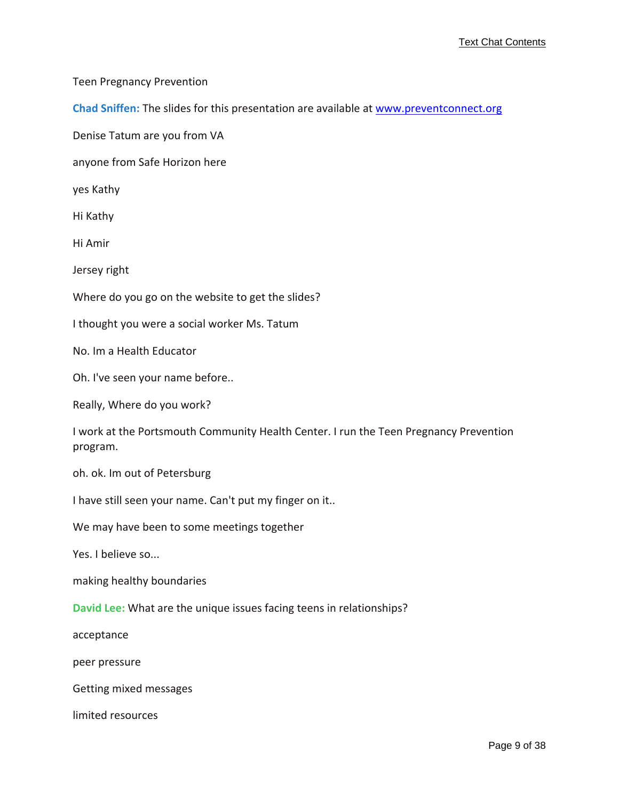Teen Pregnancy Prevention

**Chad Sniffen:** The slides for this presentation are available at <www.preventconnect.org>

Denise Tatum are you from VA

anyone from Safe Horizon here

yes Kathy

Hi Kathy

Hi Amir

Jersey right

Where do you go on the website to get the slides?

I thought you were a social worker Ms. Tatum

No. Im a Health Educator

Oh. I've seen your name before..

Really, Where do you work?

I work at the Portsmouth Community Health Center. I run the Teen Pregnancy Prevention program.

oh. ok. Im out of Petersburg

I have still seen your name. Can't put my finger on it..

We may have been to some meetings together

Yes. I believe so...

making healthy boundaries

**David Lee:** What are the unique issues facing teens in relationships?

acceptance

peer pressure

Getting mixed messages

limited resources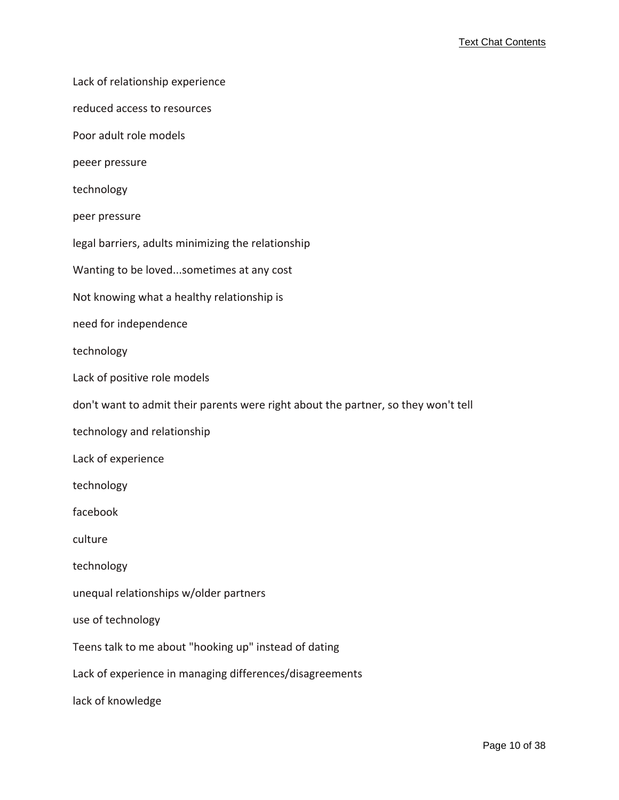Lack of relationship experience

reduced access to resources

Poor adult role models

peeer pressure

technology

peer pressure

legal barriers, adults minimizing the relationship

Wanting to be loved...sometimes at any cost

Not knowing what a healthy relationship is

need for independence

technology

Lack of positive role models

don't want to admit their parents were right about the partner, so they won't tell

technology and relationship

Lack of experience

technology

facebook

culture

technology

unequal relationships w/older partners

use of technology

Teens talk to me about "hooking up" instead of dating

Lack of experience in managing differences/disagreements

lack of knowledge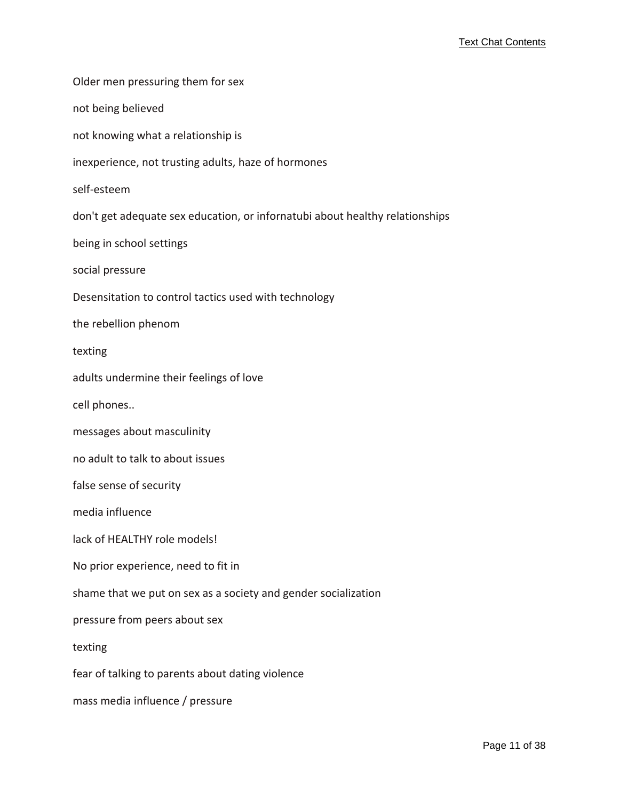Older men pressuring them for sex not being believed not knowing what a relationship is inexperience, not trusting adults, haze of hormones self‐esteem don't get adequate sex education, or infornatubi about healthy relationships being in school settings social pressure Desensitation to control tactics used with technology the rebellion phenom texting adults undermine their feelings of love cell phones.. messages about masculinity no adult to talk to about issues false sense of security media influence lack of HEALTHY role models! No prior experience, need to fit in shame that we put on sex as a society and gender socialization pressure from peers about sex texting fear of talking to parents about dating violence mass media influence / pressure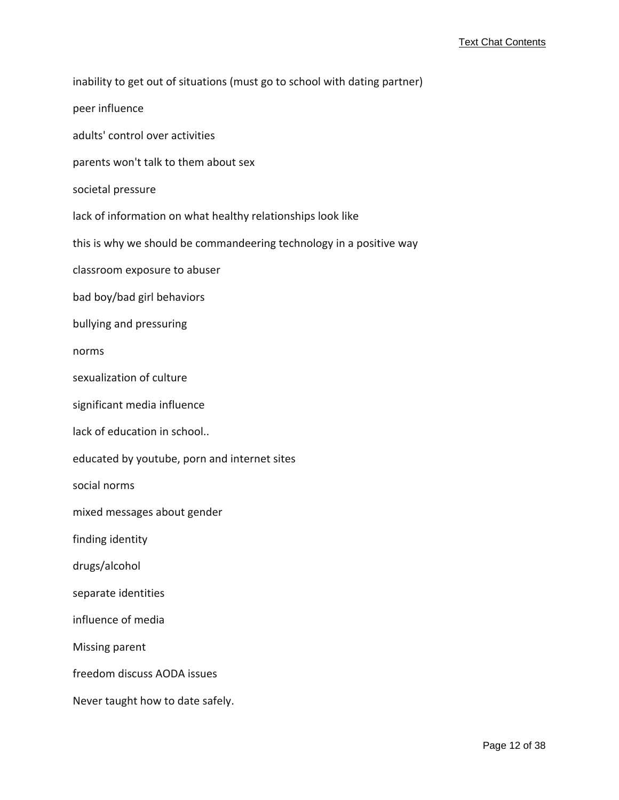inability to get out of situations (must go to school with dating partner) peer influence adults' control over activities parents won't talk to them about sex societal pressure lack of information on what healthy relationships look like this is why we should be commandeering technology in a positive way classroom exposure to abuser bad boy/bad girl behaviors bullying and pressuring norms sexualization of culture significant media influence lack of education in school.. educated by youtube, porn and internet sites social norms mixed messages about gender finding identity drugs/alcohol separate identities influence of media Missing parent freedom discuss AODA issues Never taught how to date safely.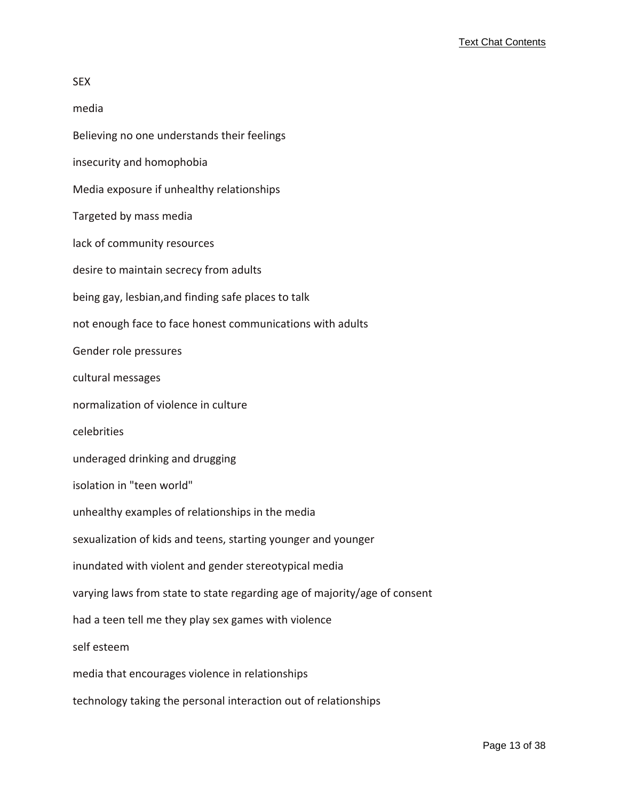| media                                                                     |
|---------------------------------------------------------------------------|
| Believing no one understands their feelings                               |
| insecurity and homophobia                                                 |
| Media exposure if unhealthy relationships                                 |
| Targeted by mass media                                                    |
| lack of community resources                                               |
| desire to maintain secrecy from adults                                    |
| being gay, lesbian, and finding safe places to talk                       |
| not enough face to face honest communications with adults                 |
| Gender role pressures                                                     |
| cultural messages                                                         |
| normalization of violence in culture                                      |
| celebrities                                                               |
| underaged drinking and drugging                                           |
| isolation in "teen world"                                                 |
| unhealthy examples of relationships in the media                          |
| sexualization of kids and teens, starting younger and younger             |
| inundated with violent and gender stereotypical media                     |
| varying laws from state to state regarding age of majority/age of consent |
| had a teen tell me they play sex games with violence                      |
| self esteem                                                               |
| media that encourages violence in relationships                           |
| technology taking the personal interaction out of relationships           |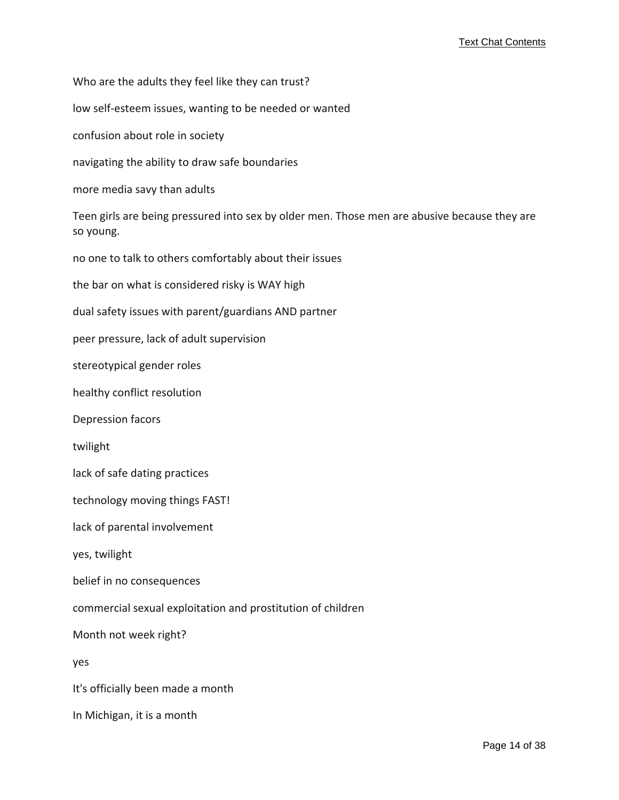Who are the adults they feel like they can trust?

low self‐esteem issues, wanting to be needed or wanted

confusion about role in society

navigating the ability to draw safe boundaries

more media savy than adults

Teen girls are being pressured into sex by older men. Those men are abusive because they are so young.

no one to talk to others comfortably about their issues

the bar on what is considered risky is WAY high

dual safety issues with parent/guardians AND partner

peer pressure, lack of adult supervision

stereotypical gender roles

healthy conflict resolution

Depression facors

twilight

lack of safe dating practices

technology moving things FAST!

lack of parental involvement

yes, twilight

belief in no consequences

commercial sexual exploitation and prostitution of children

Month not week right?

yes

It's officially been made a month

In Michigan, it is a month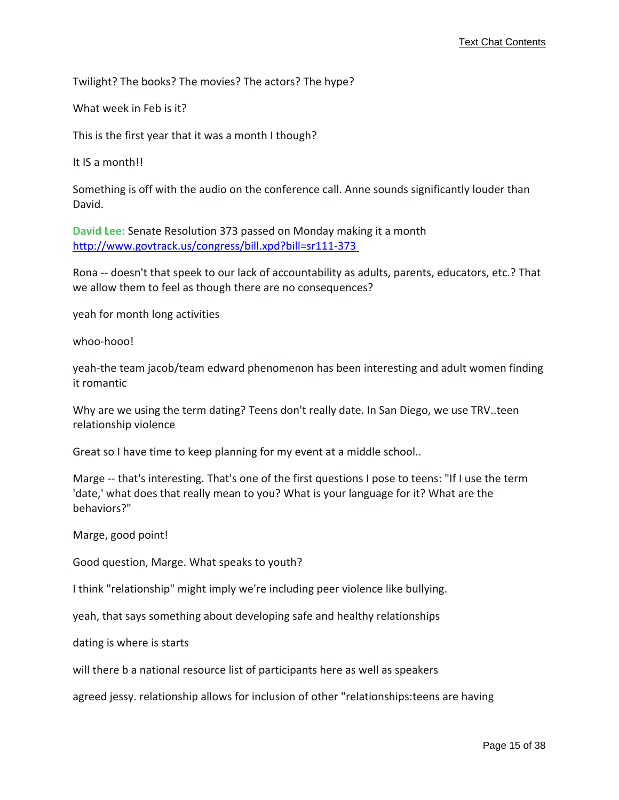Twilight? The books? The movies? The actors? The hype?

What week in Feb is it?

This is the first year that it was a month I though?

It IS a month!!

Something is off with the audio on the conference call. Anne sounds significantly louder than David.

**David Lee:** Senate Resolution 373 passed on Monday making it a month [http://www.govtrack.us/congress/bill.xpd?bill=sr111](http://www.govtrack.us/congress/bill.xpd?bill=sr111-373)-[3](http://www.govtrack.us/congress/bill.xpd?bill=sr111-373)73

Rona ‐‐ doesn't that speek to our lack of accountability as adults, parents, educators, etc.? That we allow them to feel as though there are no consequences?

yeah for month long activities

whoo-hooo!

yeah‐the team jacob/team edward phenomenon has been interesting and adult women finding it romantic

Why are we using the term dating? Teens don't really date. In San Diego, we use TRV..teen relationship violence

Great so I have time to keep planning for my event at a middle school..

Marge -- that's interesting. That's one of the first questions I pose to teens: "If I use the term 'date,' what does that really mean to you? What is your language for it? What are the behaviors?"

Marge, good point!

Good question, Marge. What speaks to youth?

I think "relationship" might imply we're including peer violence like bullying.

yeah, that says something about developing safe and healthy relationships

dating is where is starts

will there b a national resource list of participants here as well as speakers

agreed jessy. relationship allows for inclusion of other "relationships:teens are having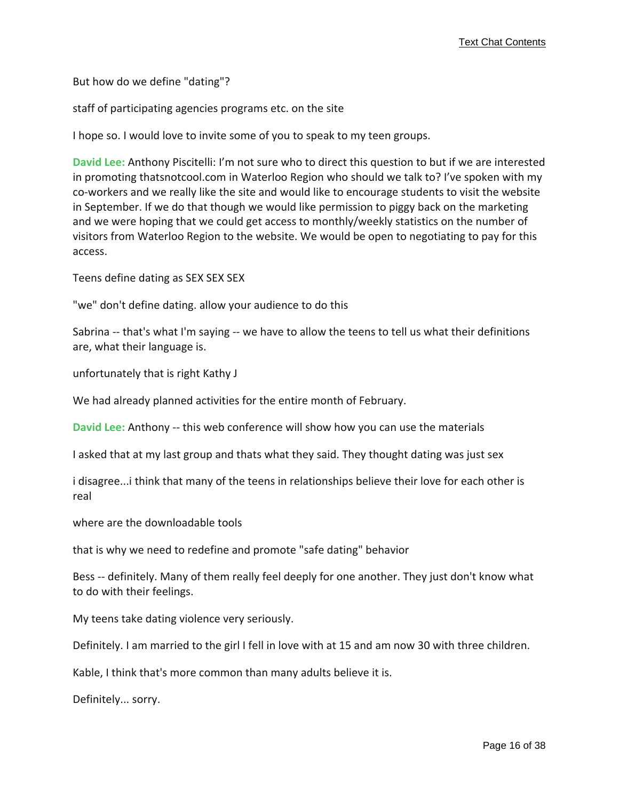But how do we define "dating"?

staff of participating agencies programs etc. on the site

I hope so. I would love to invite some of you to speak to my teen groups.

**David Lee:** Anthony Piscitelli: I'm not sure who to direct this question to but if we are interested in promoting thatsnotcool.com in Waterloo Region who should we talk to? I've spoken with my co‐workers and we really like the site and would like to encourage students to visit the website in September. If we do that though we would like permission to piggy back on the marketing and we were hoping that we could get access to monthly/weekly statistics on the number of visitors from Waterloo Region to the website. We would be open to negotiating to pay for this access.

Teens define dating as SEX SEX SEX

"we" don't define dating. allow your audience to do this

Sabrina ‐‐ that's what I'm saying ‐‐ we have to allow the teens to tell us what their definitions are, what their language is.

unfortunately that is right Kathy J

We had already planned activities for the entire month of February.

**David Lee:** Anthony ‐‐ this web conference will show how you can use the materials

I asked that at my last group and thats what they said. They thought dating was just sex

i disagree...i think that many of the teens in relationships believe their love for each other is real

where are the downloadable tools

that is why we need to redefine and promote "safe dating" behavior

Bess -- definitely. Many of them really feel deeply for one another. They just don't know what to do with their feelings.

My teens take dating violence very seriously.

Definitely. I am married to the girl I fell in love with at 15 and am now 30 with three children.

Kable, I think that's more common than many adults believe it is.

Definitely... sorry.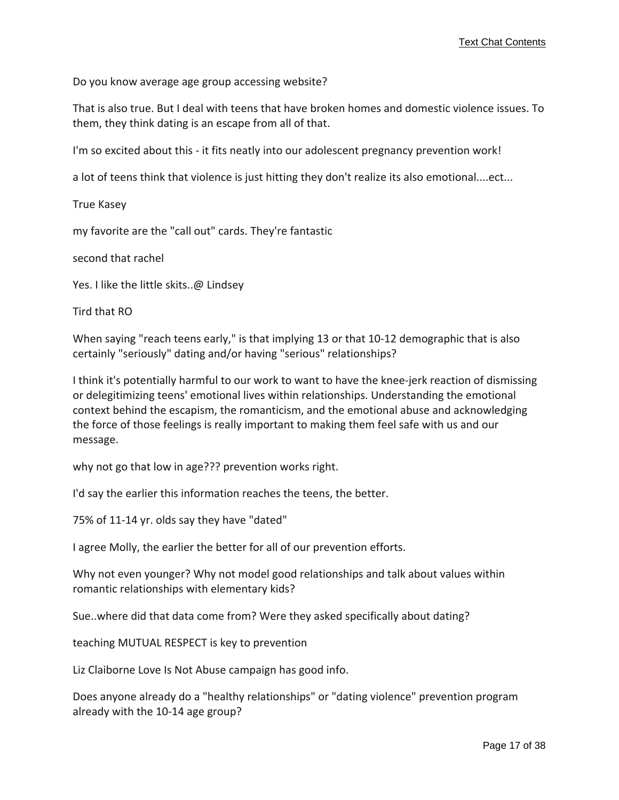Do you know average age group accessing website?

That is also true. But I deal with teens that have broken homes and domestic violence issues. To them, they think dating is an escape from all of that.

I'm so excited about this ‐ it fits neatly into our adolescent pregnancy prevention work!

a lot of teens think that violence is just hitting they don't realize its also emotional....ect...

True Kasey

my favorite are the "call out" cards. They're fantastic

second that rachel

Yes. I like the little skits..@ Lindsey

Tird that RO

When saying "reach teens early," is that implying 13 or that 10-12 demographic that is also certainly "seriously" dating and/or having "serious" relationships?

I think it's potentially harmful to our work to want to have the knee‐jerk reaction of dismissing or delegitimizing teens' emotional lives within relationships. Understanding the emotional context behind the escapism, the romanticism, and the emotional abuse and acknowledging the force of those feelings is really important to making them feel safe with us and our message.

why not go that low in age??? prevention works right.

I'd say the earlier this information reaches the teens, the better.

75% of 11‐14 yr. olds say they have "dated"

I agree Molly, the earlier the better for all of our prevention efforts.

Why not even younger? Why not model good relationships and talk about values within romantic relationships with elementary kids?

Sue..where did that data come from? Were they asked specifically about dating?

teaching MUTUAL RESPECT is key to prevention

Liz Claiborne Love Is Not Abuse campaign has good info.

Does anyone already do a "healthy relationships" or "dating violence" prevention program already with the 10‐14 age group?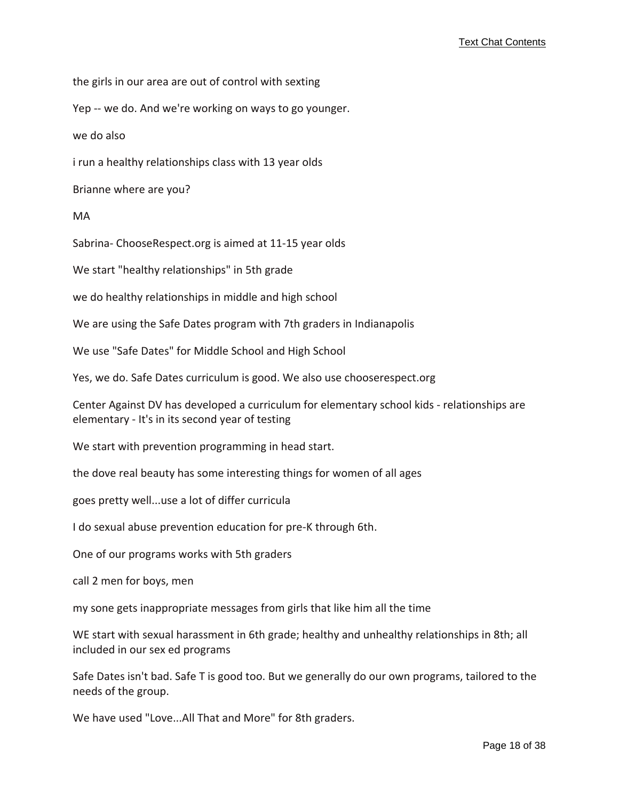the girls in our area are out of control with sexting

Yep ‐‐ we do. And we're working on ways to go younger.

we do also

i run a healthy relationships class with 13 year olds

Brianne where are you?

MA

Sabrina‐ ChooseRespect.org is aimed at 11‐15 year olds

We start "healthy relationships" in 5th grade

we do healthy relationships in middle and high school

We are using the Safe Dates program with 7th graders in Indianapolis

We use "Safe Dates" for Middle School and High School

Yes, we do. Safe Dates curriculum is good. We also use chooserespect.org

Center Against DV has developed a curriculum for elementary school kids ‐ relationships are elementary ‐ It's in its second year of testing

We start with prevention programming in head start.

the dove real beauty has some interesting things for women of all ages

goes pretty well...use a lot of differ curricula

I do sexual abuse prevention education for pre‐K through 6th.

One of our programs works with 5th graders

call 2 men for boys, men

my sone gets inappropriate messages from girls that like him all the time

WE start with sexual harassment in 6th grade; healthy and unhealthy relationships in 8th; all included in our sex ed programs

Safe Dates isn't bad. Safe T is good too. But we generally do our own programs, tailored to the needs of the group.

We have used "Love...All That and More" for 8th graders.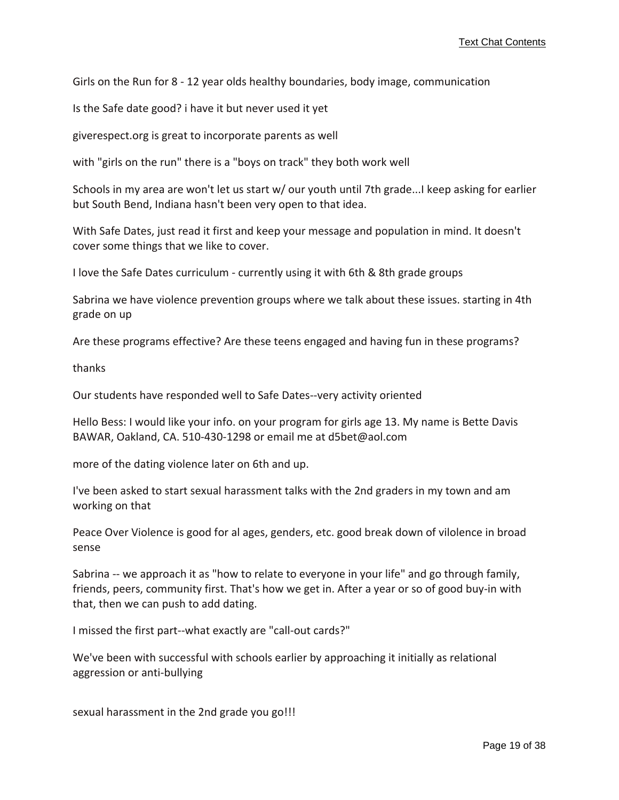Girls on the Run for 8 ‐ 12 year olds healthy boundaries, body image, communication

Is the Safe date good? i have it but never used it yet

giverespect.org is great to incorporate parents as well

with "girls on the run" there is a "boys on track" they both work well

Schools in my area are won't let us start w/ our youth until 7th grade...I keep asking for earlier but South Bend, Indiana hasn't been very open to that idea.

With Safe Dates, just read it first and keep your message and population in mind. It doesn't cover some things that we like to cover.

I love the Safe Dates curriculum ‐ currently using it with 6th & 8th grade groups

Sabrina we have violence prevention groups where we talk about these issues. starting in 4th grade on up

Are these programs effective? Are these teens engaged and having fun in these programs?

thanks

Our students have responded well to Safe Dates‐‐very activity oriented

Hello Bess: I would like your info. on your program for girls age 13. My name is Bette Davis BAWAR, Oakland, CA. 510‐430‐1298 or email me at d5bet@aol.com

more of the dating violence later on 6th and up.

I've been asked to start sexual harassment talks with the 2nd graders in my town and am working on that

Peace Over Violence is good for al ages, genders, etc. good break down of vilolence in broad sense

Sabrina -- we approach it as "how to relate to everyone in your life" and go through family, friends, peers, community first. That's how we get in. After a year or so of good buy‐in with that, then we can push to add dating.

I missed the first part‐‐what exactly are "call‐out cards?"

We've been with successful with schools earlier by approaching it initially as relational aggression or anti‐bullying

sexual harassment in the 2nd grade you go!!!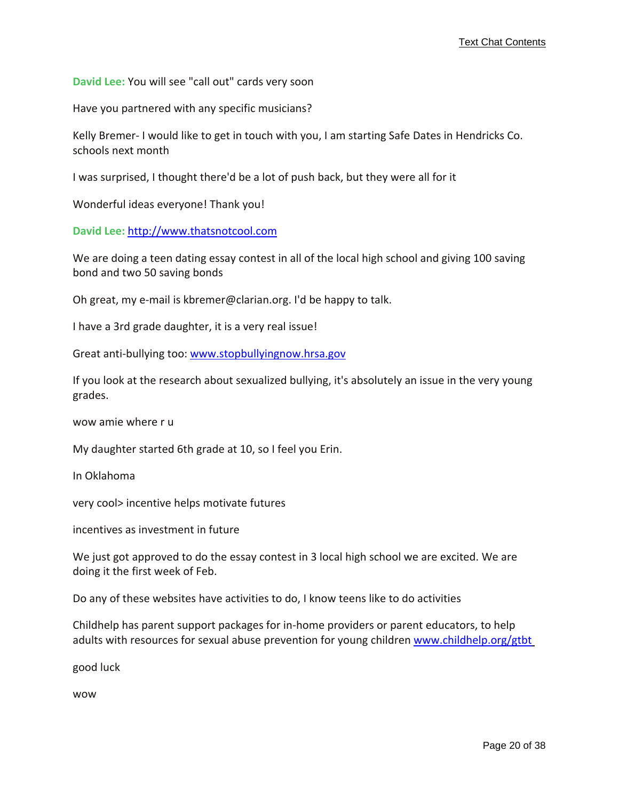**David Lee:** You will see "call out" cards very soon

Have you partnered with any specific musicians?

Kelly Bremer‐ I would like to get in touch with you, I am starting Safe Dates in Hendricks Co. schools next month

I was surprised, I thought there'd be a lot of push back, but they were all for it

Wonderful ideas everyone! Thank you!

**David Lee:** [http://www.thatsnotcool.com](http://www.thatsnotcool.com/)

We are doing a teen dating essay contest in all of the local high school and giving 100 saving bond and two 50 saving bonds

Oh great, my e‐mail is kbremer@clarian.org. I'd be happy to talk.

I have a 3rd grade daughter, it is a very real issue!

Great anti-bullying too: <www.stopbullyingnow.hrsa.gov>

If you look at the research about sexualized bullying, it's absolutely an issue in the very young grades.

wow amie where r u

My daughter started 6th grade at 10, so I feel you Erin.

In Oklahoma

very cool> incentive helps motivate futures

incentives as investment in future

We just got approved to do the essay contest in 3 local high school we are excited. We are doing it the first week of Feb.

Do any of these websites have activities to do, I know teens like to do activities

Childhelp has parent support packages for in‐home providers or parent educators, to help adults with resources for sexual abuse prevention for young children <www.childhelp.org/gtbt>

good luck

wow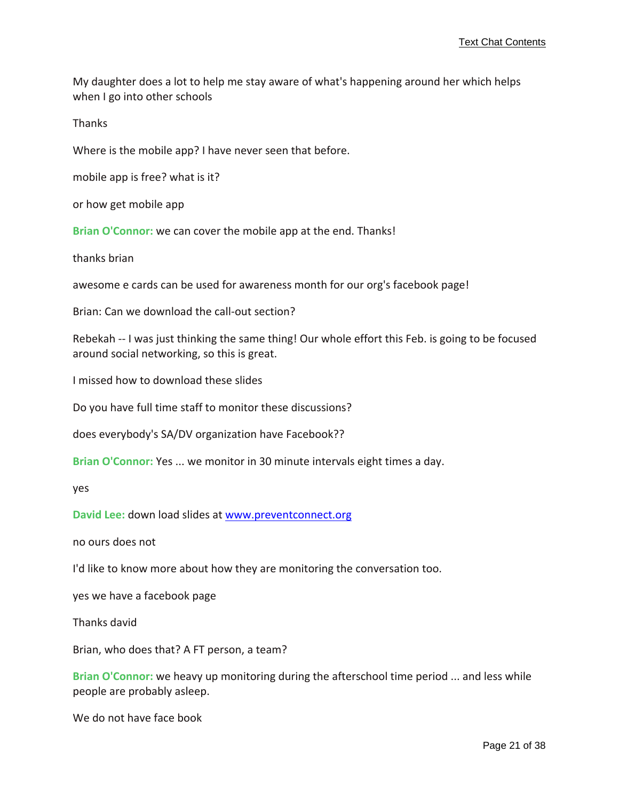My daughter does a lot to help me stay aware of what's happening around her which helps when I go into other schools

Thanks

Where is the mobile app? I have never seen that before.

mobile app is free? what is it?

or how get mobile app

**Brian O'Connor:** we can cover the mobile app at the end. Thanks!

thanks brian

awesome e cards can be used for awareness month for our org's facebook page!

Brian: Can we download the call‐out section?

Rebekah -- I was just thinking the same thing! Our whole effort this Feb. is going to be focused around social networking, so this is great.

I missed how to download these slides

Do you have full time staff to monitor these discussions?

does everybody's SA/DV organization have Facebook??

**Brian O'Connor:** Yes ... we monitor in 30 minute intervals eight times a day.

yes

**David Lee:** down load slides at <www.preventconnect.org>

no ours does not

I'd like to know more about how they are monitoring the conversation too.

yes we have a facebook page

Thanks david

Brian, who does that? A FT person, a team?

**Brian O'Connor:** we heavy up monitoring during the afterschool time period ... and less while people are probably asleep.

We do not have face book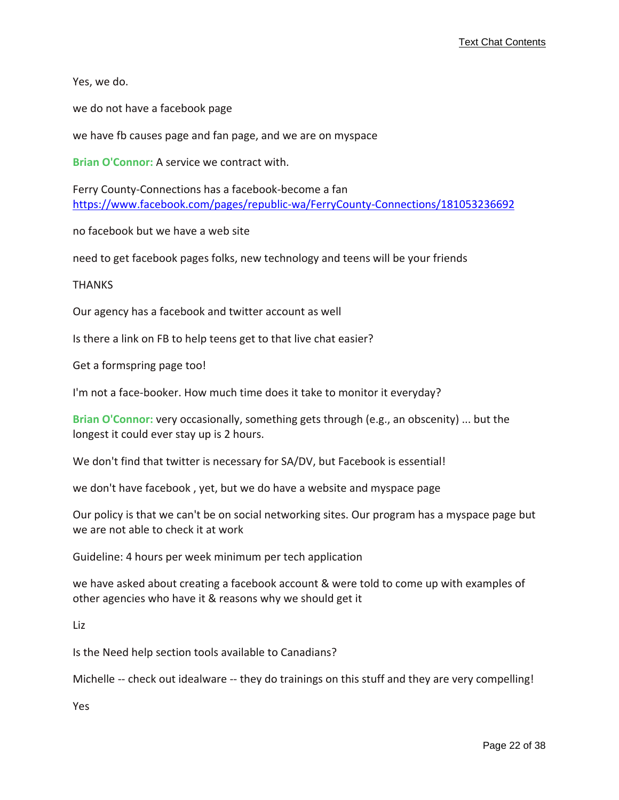Yes, we do.

we do not have a facebook page

we have fb causes page and fan page, and we are on myspace

**Brian O'Connor:** A service we contract with.

Ferry County‐Connections has a facebook‐become a fan [https://www.facebook.com/pages/republic](https://www.facebook.com/pages/republic-wa/FerryCounty-Connections/181053236692)‐wa/FerryCounty‐Connections/181053236692

no facebook but we have a web site

need to get facebook pages folks, new technology and teens will be your friends

**THANKS** 

Our agency has a facebook and twitter account as well

Is there a link on FB to help teens get to that live chat easier?

Get a formspring page too!

I'm not a face‐booker. How much time does it take to monitor it everyday?

**Brian O'Connor:** very occasionally, something gets through (e.g., an obscenity) ... but the longest it could ever stay up is 2 hours.

We don't find that twitter is necessary for SA/DV, but Facebook is essential!

we don't have facebook , yet, but we do have a website and myspace page

Our policy is that we can't be on social networking sites. Our program has a myspace page but we are not able to check it at work

Guideline: 4 hours per week minimum per tech application

we have asked about creating a facebook account & were told to come up with examples of other agencies who have it & reasons why we should get it

Liz

Is the Need help section tools available to Canadians?

Michelle -- check out idealware -- they do trainings on this stuff and they are very compelling!

Yes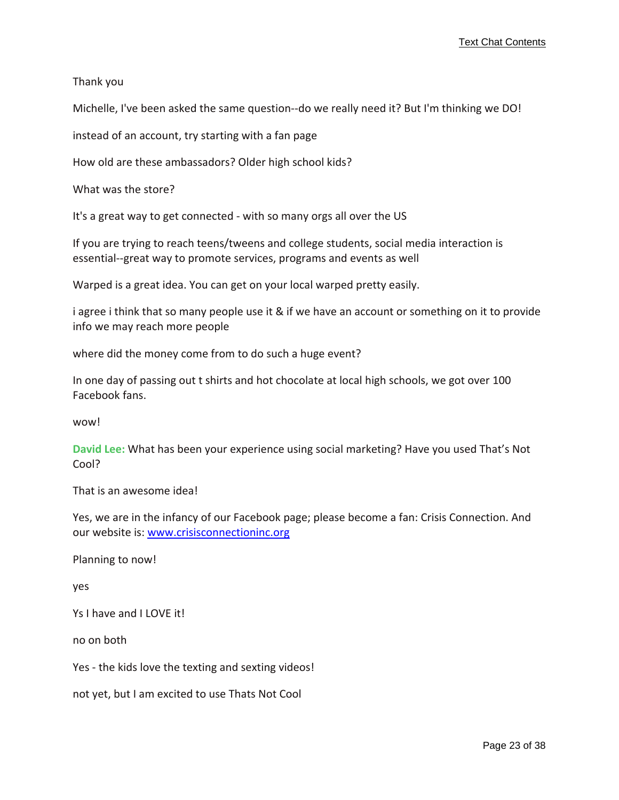Thank you

Michelle, I've been asked the same question--do we really need it? But I'm thinking we DO!

instead of an account, try starting with a fan page

How old are these ambassadors? Older high school kids?

What was the store?

It's a great way to get connected ‐ with so many orgs all over the US

If you are trying to reach teens/tweens and college students, social media interaction is essential--great way to promote services, programs and events as well

Warped is a great idea. You can get on your local warped pretty easily.

i agree i think that so many people use it & if we have an account or something on it to provide info we may reach more people

where did the money come from to do such a huge event?

In one day of passing out t shirts and hot chocolate at local high schools, we got over 100 Facebook fans.

wow!

**David Lee:** What has been your experience using social marketing? Have you used That's Not Cool?

That is an awesome idea!

Yes, we are in the infancy of our Facebook page; please become a fan: Crisis Connection. And our website is: <www.crisisconnectioninc.org>

Planning to now!

yes

Ys I have and I LOVE it!

no on both

Yes - the kids love the texting and sexting videos!

not yet, but I am excited to use Thats Not Cool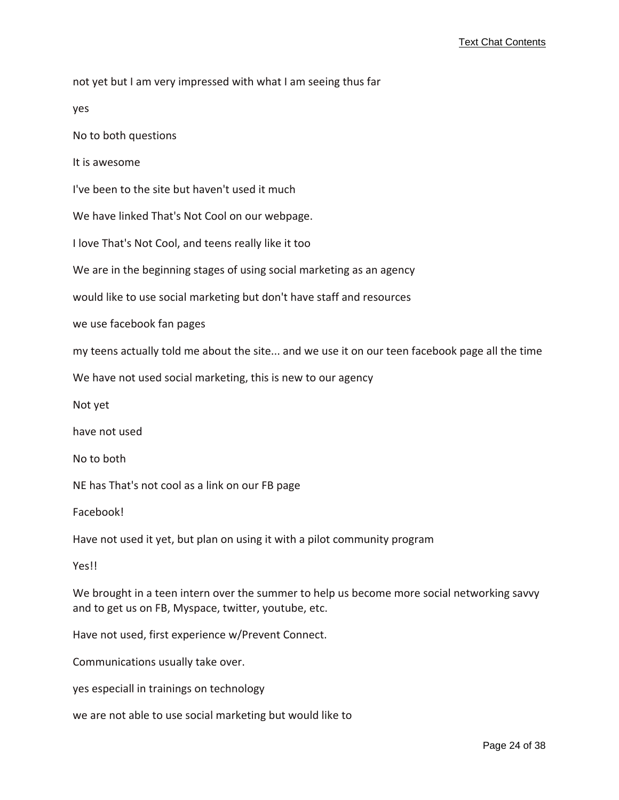not yet but I am very impressed with what I am seeing thus far

yes

No to both questions

It is awesome

I've been to the site but haven't used it much

We have linked That's Not Cool on our webpage.

I love That's Not Cool, and teens really like it too

We are in the beginning stages of using social marketing as an agency

would like to use social marketing but don't have staff and resources

we use facebook fan pages

my teens actually told me about the site... and we use it on our teen facebook page all the time

We have not used social marketing, this is new to our agency

Not yet

have not used

No to both

NE has That's not cool as a link on our FB page

Facebook!

Have not used it yet, but plan on using it with a pilot community program

Yes!!

We brought in a teen intern over the summer to help us become more social networking savvy and to get us on FB, Myspace, twitter, youtube, etc.

Have not used, first experience w/Prevent Connect.

Communications usually take over.

yes especiall in trainings on technology

we are not able to use social marketing but would like to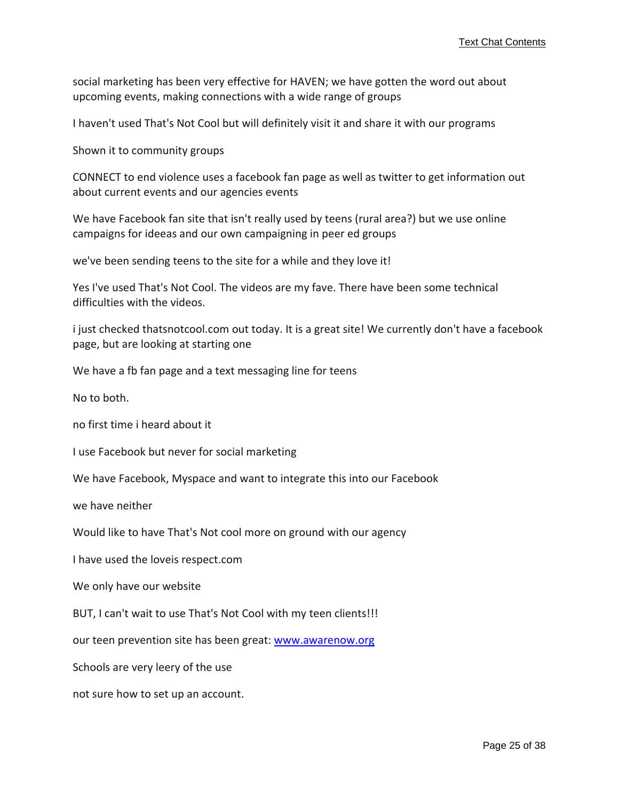social marketing has been very effective for HAVEN; we have gotten the word out about upcoming events, making connections with a wide range of groups

I haven't used That's Not Cool but will definitely visit it and share it with our programs

Shown it to community groups

CONNECT to end violence uses a facebook fan page as well as twitter to get information out about current events and our agencies events

We have Facebook fan site that isn't really used by teens (rural area?) but we use online campaigns for ideeas and our own campaigning in peer ed groups

we've been sending teens to the site for a while and they love it!

Yes I've used That's Not Cool. The videos are my fave. There have been some technical difficulties with the videos.

i just checked thatsnotcool.com out today. It is a great site! We currently don't have a facebook page, but are looking at starting one

We have a fb fan page and a text messaging line for teens

No to both.

no first time i heard about it

I use Facebook but never for social marketing

We have Facebook, Myspace and want to integrate this into our Facebook

we have neither

Would like to have That's Not cool more on ground with our agency

I have used the loveis respect.com

We only have our website

BUT, I can't wait to use That's Not Cool with my teen clients!!!

our teen prevention site has been great: <www.awarenow.org>

Schools are very leery of the use

not sure how to set up an account.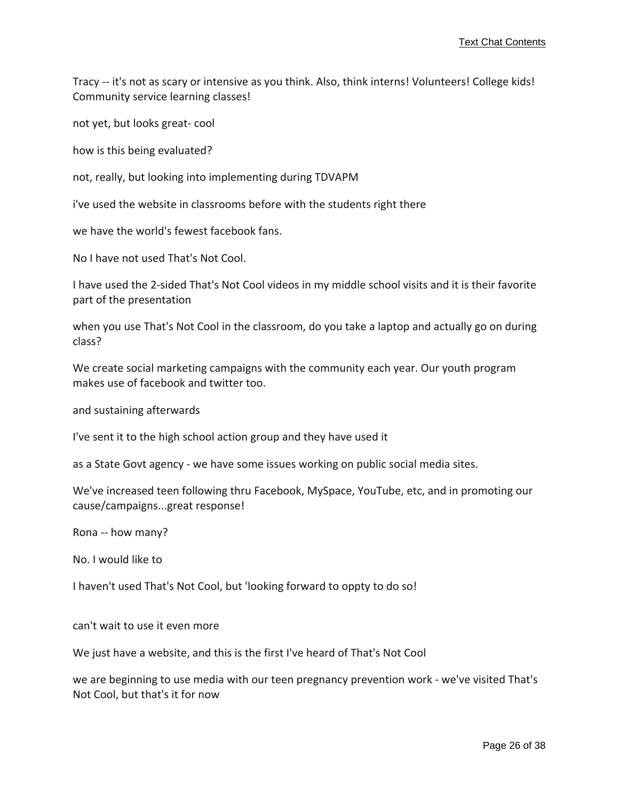Tracy ‐‐ it's not as scary or intensive as you think. Also, think interns! Volunteers! College kids! Community service learning classes!

not yet, but looks great‐ cool

how is this being evaluated?

not, really, but looking into implementing during TDVAPM

i've used the website in classrooms before with the students right there

we have the world's fewest facebook fans.

No I have not used That's Not Cool.

I have used the 2‐sided That's Not Cool videos in my middle school visits and it is their favorite part of the presentation

when you use That's Not Cool in the classroom, do you take a laptop and actually go on during class?

We create social marketing campaigns with the community each year. Our youth program makes use of facebook and twitter too.

and sustaining afterwards

I've sent it to the high school action group and they have used it

as a State Govt agency ‐ we have some issues working on public social media sites.

We've increased teen following thru Facebook, MySpace, YouTube, etc, and in promoting our cause/campaigns...great response!

Rona ‐‐ how many?

No. I would like to

I haven't used That's Not Cool, but 'looking forward to oppty to do so!

can't wait to use it even more

We just have a website, and this is the first I've heard of That's Not Cool

we are beginning to use media with our teen pregnancy prevention work - we've visited That's Not Cool, but that's it for now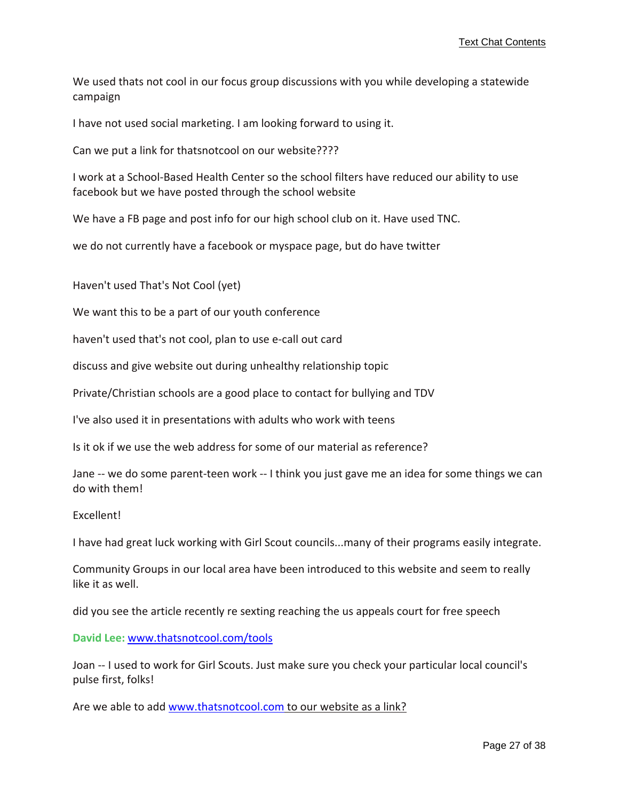We used thats not cool in our focus group discussions with you while developing a statewide campaign

I have not used social marketing. I am looking forward to using it.

Can we put a link for thatsnotcool on our website????

I work at a School‐Based Health Center so the school filters have reduced our ability to use facebook but we have posted through the school website

We have a FB page and post info for our high school club on it. Have used TNC.

we do not currently have a facebook or myspace page, but do have twitter

Haven't used That's Not Cool (yet)

We want this to be a part of our youth conference

haven't used that's not cool, plan to use e-call out card

discuss and give website out during unhealthy relationship topic

Private/Christian schools are a good place to contact for bullying and TDV

I've also used it in presentations with adults who work with teens

Is it ok if we use the web address for some of our material as reference?

Jane ‐‐ we do some parent‐teen work ‐‐ I think you just gave me an idea for some things we can do with them!

Excellent!

I have had great luck working with Girl Scout councils...many of their programs easily integrate.

Community Groups in our local area have been introduced to this website and seem to really like it as well.

did you see the article recently re sexting reaching the us appeals court for free speech

**David Lee:** <www.thatsnotcool.com/tools>

Joan -- I used to work for Girl Scouts. Just make sure you check your particular local council's pulse first, folks!

Are we able to add <www.thatsnotcool.com> to our [website](www.thatsnotcool.com) as a link?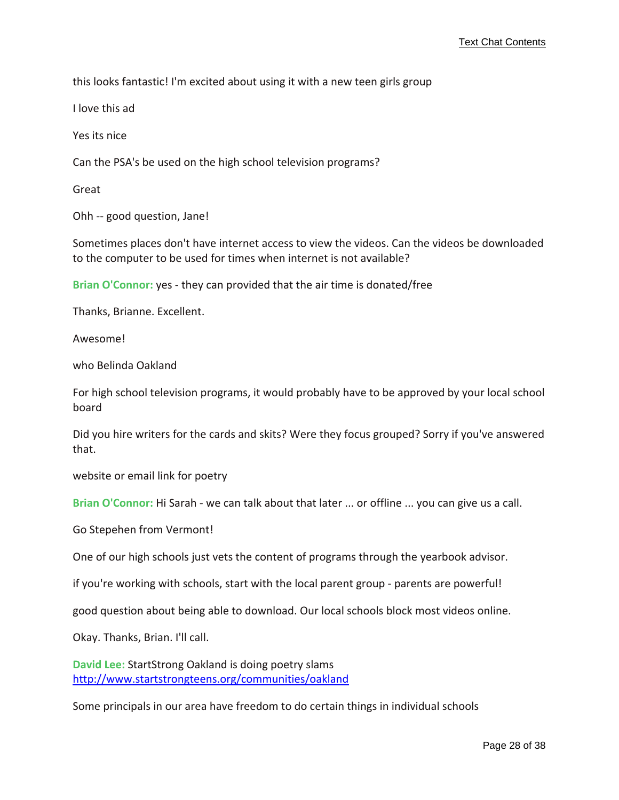this looks fantastic! I'm excited about using it with a new teen girls group

I love this ad

Yes its nice

Can the PSA's be used on the high school television programs?

Great

Ohh -- good question, Jane!

Sometimes places don't have internet access to view the videos. Can the videos be downloaded to the computer to be used for times when internet is not available?

**Brian O'Connor:** yes ‐ they can provided that the air time is donated/free

Thanks, Brianne. Excellent.

Awesome!

who Belinda Oakland

For high school television programs, it would probably have to be approved by your local school board

Did you hire writers for the cards and skits? Were they focus grouped? Sorry if you've answered that.

website or email link for poetry

**Brian O'Connor:** Hi Sarah ‐ we can talk about that later ... or offline ... you can give us a call.

Go Stepehen from Vermont!

One of our high schools just vets the content of programs through the yearbook advisor.

if you're working with schools, start with the local parent group ‐ parents are powerful!

good question about being able to download. Our local schools block most videos online.

Okay. Thanks, Brian. I'll call.

**David Lee:** StartStrong Oakland is doing poetry slams <http://www.startstrongteens.org/communities/oakland>

Some principals in our area have freedom to do certain things in individual schools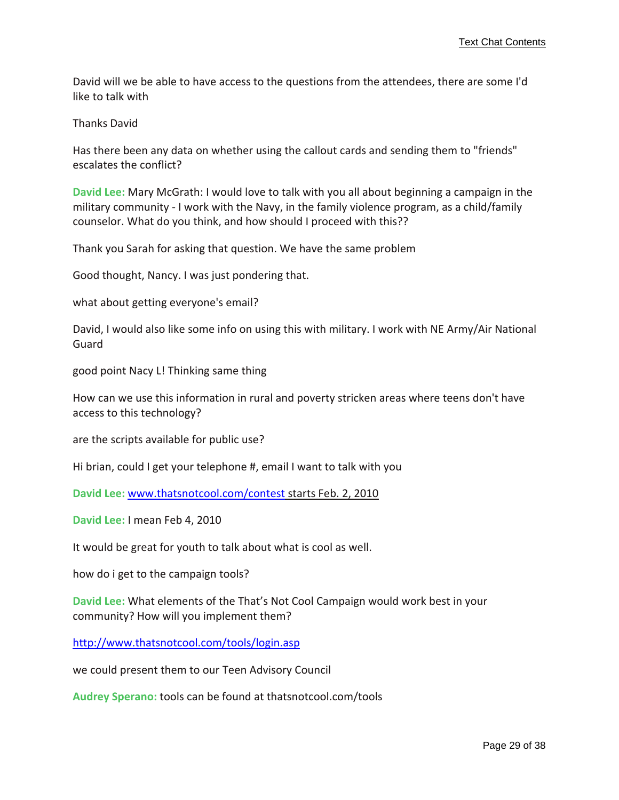David will we be able to have access to the questions from the attendees, there are some I'd like to talk with

Thanks David

Has there been any data on whether using the callout cards and sending them to "friends" escalates the conflict?

**David Lee:** Mary McGrath: I would love to talk with you all about beginning a campaign in the military community ‐ I work with the Navy, in the family violence program, as a child/family counselor. What do you think, and how should I proceed with this??

Thank you Sarah for asking that question. We have the same problem

Good thought, Nancy. I was just pondering that.

what about getting everyone's email?

David, I would also like some info on using this with military. I work with NE Army/Air National Guard

good point Nacy L! Thinking same thing

How can we use this information in rural and poverty stricken areas where teens don't have access to this technology?

are the scripts available for public use?

Hi brian, could I get your telephone #, email I want to talk with you

**David Lee:** <www.thatsnotcool.com/contest> [starts](www.thatsnotcool.com/contest) Feb. 2, 2010

**David Lee:** I mean Feb 4, 2010

It would be great for youth to talk about what is cool as well.

how do i get to the campaign tools?

**David Lee:** What elements of the That's Not Cool Campaign would work best in your community? How will you implement them?

<http://www.thatsnotcool.com/tools/login.asp>

we could present them to our Teen Advisory Council

**Audrey Sperano:** tools can be found at thatsnotcool.com/tools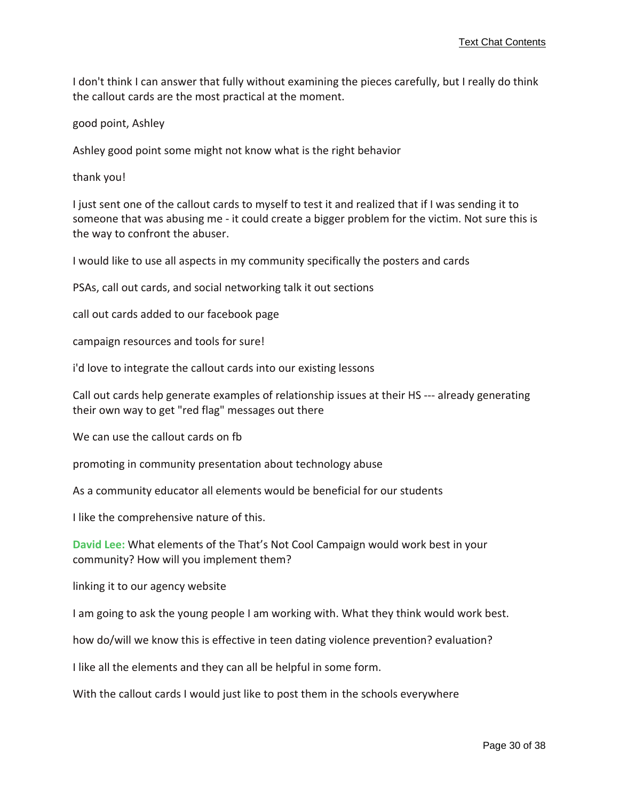I don't think I can answer that fully without examining the pieces carefully, but I really do think the callout cards are the most practical at the moment.

good point, Ashley

Ashley good point some might not know what is the right behavior

thank you!

I just sent one of the callout cards to myself to test it and realized that if I was sending it to someone that was abusing me - it could create a bigger problem for the victim. Not sure this is the way to confront the abuser.

I would like to use all aspects in my community specifically the posters and cards

PSAs, call out cards, and social networking talk it out sections

call out cards added to our facebook page

campaign resources and tools for sure!

i'd love to integrate the callout cards into our existing lessons

Call out cards help generate examples of relationship issues at their HS ‐‐‐ already generating their own way to get "red flag" messages out there

We can use the callout cards on fb

promoting in community presentation about technology abuse

As a community educator all elements would be beneficial for our students

I like the comprehensive nature of this.

**David Lee:** What elements of the That's Not Cool Campaign would work best in your community? How will you implement them?

linking it to our agency website

I am going to ask the young people I am working with. What they think would work best.

how do/will we know this is effective in teen dating violence prevention? evaluation?

I like all the elements and they can all be helpful in some form.

With the callout cards I would just like to post them in the schools everywhere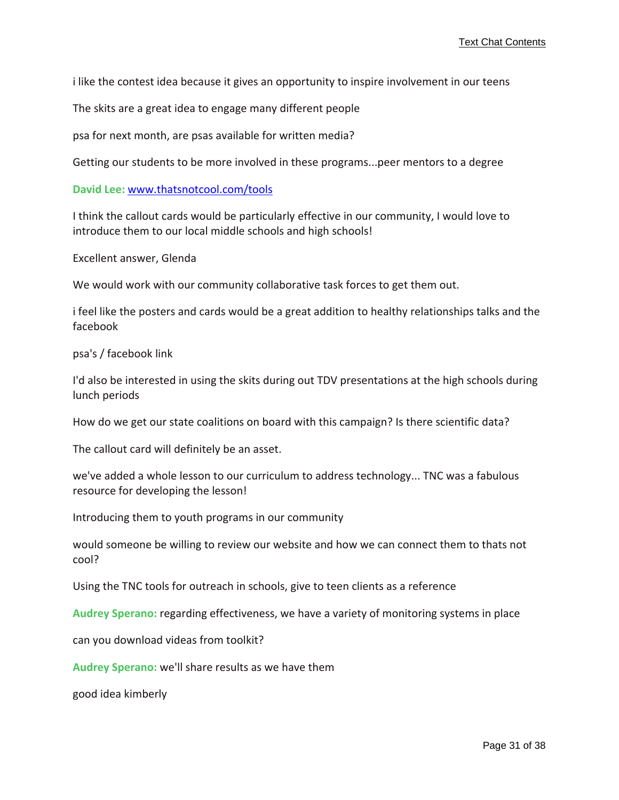i like the contest idea because it gives an opportunity to inspire involvement in our teens

The skits are a great idea to engage many different people

psa for next month, are psas available for written media?

Getting our students to be more involved in these programs...peer mentors to a degree

**David Lee:** <www.thatsnotcool.com/tools>

I think the callout cards would be particularly effective in our community, I would love to introduce them to our local middle schools and high schools!

Excellent answer, Glenda

We would work with our community collaborative task forces to get them out.

i feel like the posters and cards would be a great addition to healthy relationships talks and the facebook

psa's / facebook link

I'd also be interested in using the skits during out TDV presentations at the high schools during lunch periods

How do we get our state coalitions on board with this campaign? Is there scientific data?

The callout card will definitely be an asset.

we've added a whole lesson to our curriculum to address technology... TNC was a fabulous resource for developing the lesson!

Introducing them to youth programs in our community

would someone be willing to review our website and how we can connect them to thats not cool?

Using the TNC tools for outreach in schools, give to teen clients as a reference

**Audrey Sperano:** regarding effectiveness, we have a variety of monitoring systems in place

can you download videas from toolkit?

**Audrey Sperano:** we'll share results as we have them

good idea kimberly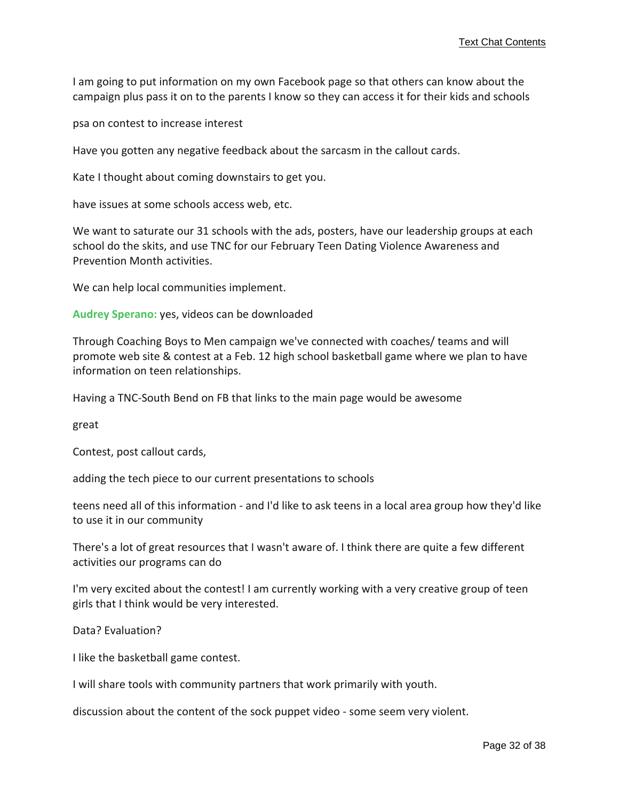I am going to put information on my own Facebook page so that others can know about the campaign plus pass it on to the parents I know so they can access it for their kids and schools

psa on contest to increase interest

Have you gotten any negative feedback about the sarcasm in the callout cards.

Kate I thought about coming downstairs to get you.

have issues at some schools access web, etc.

We want to saturate our 31 schools with the ads, posters, have our leadership groups at each school do the skits, and use TNC for our February Teen Dating Violence Awareness and Prevention Month activities.

We can help local communities implement.

**Audrey Sperano:** yes, videos can be downloaded

Through Coaching Boys to Men campaign we've connected with coaches/ teams and will promote web site & contest at a Feb. 12 high school basketball game where we plan to have information on teen relationships.

Having a TNC‐South Bend on FB that links to the main page would be awesome

great

Contest, post callout cards,

adding the tech piece to our current presentations to schools

teens need all of this information ‐ and I'd like to ask teens in a local area group how they'd like to use it in our community

There's a lot of great resources that I wasn't aware of. I think there are quite a few different activities our programs can do

I'm very excited about the contest! I am currently working with a very creative group of teen girls that I think would be very interested.

Data? Evaluation?

I like the basketball game contest.

I will share tools with community partners that work primarily with youth.

discussion about the content of the sock puppet video ‐ some seem very violent.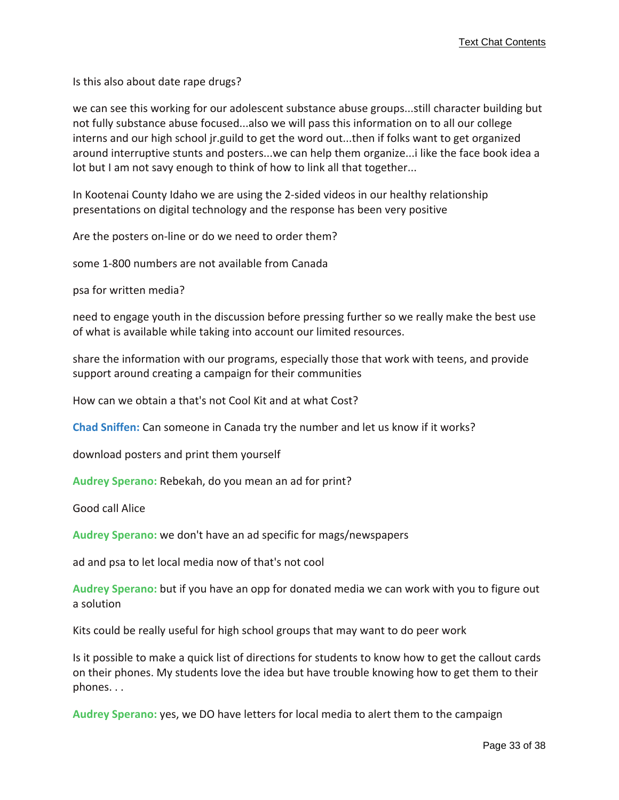Is this also about date rape drugs?

we can see this working for our adolescent substance abuse groups...still character building but not fully substance abuse focused...also we will pass this information on to all our college interns and our high school jr.guild to get the word out...then if folks want to get organized around interruptive stunts and posters...we can help them organize...i like the face book idea a lot but I am not savy enough to think of how to link all that together...

In Kootenai County Idaho we are using the 2‐sided videos in our healthy relationship presentations on digital technology and the response has been very positive

Are the posters on‐line or do we need to order them?

some 1‐800 numbers are not available from Canada

psa for written media?

need to engage youth in the discussion before pressing further so we really make the best use of what is available while taking into account our limited resources.

share the information with our programs, especially those that work with teens, and provide support around creating a campaign for their communities

How can we obtain a that's not Cool Kit and at what Cost?

**Chad Sniffen:** Can someone in Canada try the number and let us know if it works?

download posters and print them yourself

**Audrey Sperano:** Rebekah, do you mean an ad for print?

Good call Alice

**Audrey Sperano:** we don't have an ad specific for mags/newspapers

ad and psa to let local media now of that's not cool

**Audrey Sperano:** but if you have an opp for donated media we can work with you to figure out a solution

Kits could be really useful for high school groups that may want to do peer work

Is it possible to make a quick list of directions for students to know how to get the callout cards on their phones. My students love the idea but have trouble knowing how to get them to their phones. . .

**Audrey Sperano:** yes, we DO have letters for local media to alert them to the campaign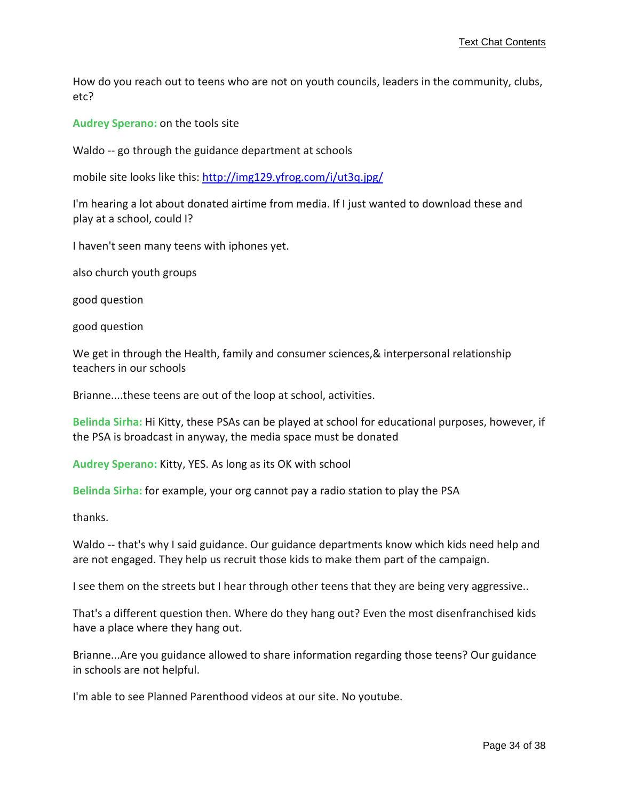How do you reach out to teens who are not on youth councils, leaders in the community, clubs, etc?

**Audrey Sperano:** on the tools site

Waldo -- go through the guidance department at schools

mobile site looks like this: <http://img129.yfrog.com/i/ut3q.jpg/>

I'm hearing a lot about donated airtime from media. If I just wanted to download these and play at a school, could I?

I haven't seen many teens with iphones yet.

also church youth groups

good question

good question

We get in through the Health, family and consumer sciences, & interpersonal relationship teachers in our schools

Brianne....these teens are out of the loop at school, activities.

**Belinda Sirha:** Hi Kitty, these PSAs can be played at school for educational purposes, however, if the PSA is broadcast in anyway, the media space must be donated

**Audrey Sperano:** Kitty, YES. As long as its OK with school

**Belinda Sirha:** for example, your org cannot pay a radio station to play the PSA

thanks.

Waldo -- that's why I said guidance. Our guidance departments know which kids need help and are not engaged. They help us recruit those kids to make them part of the campaign.

I see them on the streets but I hear through other teens that they are being very aggressive..

That's a different question then. Where do they hang out? Even the most disenfranchised kids have a place where they hang out.

Brianne...Are you guidance allowed to share information regarding those teens? Our guidance in schools are not helpful.

I'm able to see Planned Parenthood videos at our site. No youtube.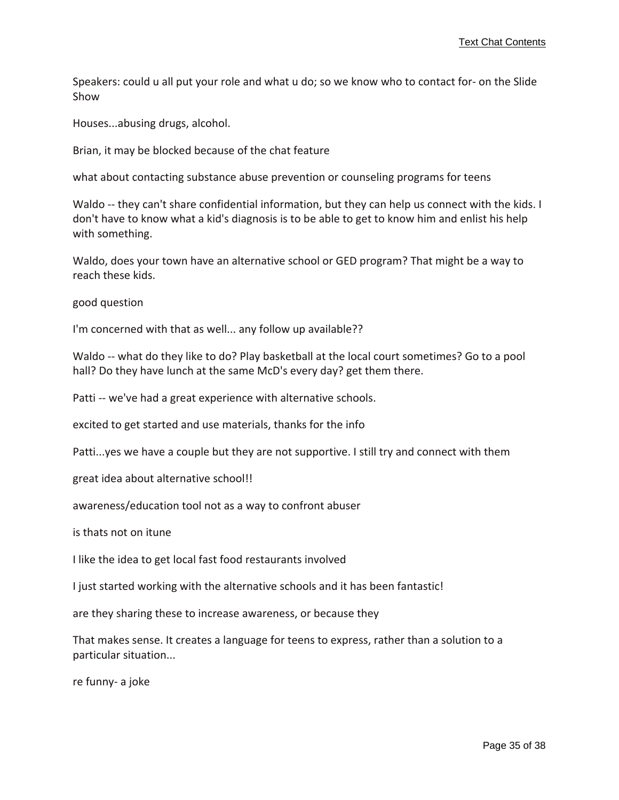Speakers: could u all put your role and what u do; so we know who to contact for‐ on the Slide Show

Houses...abusing drugs, alcohol.

Brian, it may be blocked because of the chat feature

what about contacting substance abuse prevention or counseling programs for teens

Waldo -- they can't share confidential information, but they can help us connect with the kids. I don't have to know what a kid's diagnosis is to be able to get to know him and enlist his help with something.

Waldo, does your town have an alternative school or GED program? That might be a way to reach these kids.

good question

I'm concerned with that as well... any follow up available??

Waldo -- what do they like to do? Play basketball at the local court sometimes? Go to a pool hall? Do they have lunch at the same McD's every day? get them there.

Patti -- we've had a great experience with alternative schools.

excited to get started and use materials, thanks for the info

Patti...yes we have a couple but they are not supportive. I still try and connect with them

great idea about alternative school!!

awareness/education tool not as a way to confront abuser

is thats not on itune

I like the idea to get local fast food restaurants involved

I just started working with the alternative schools and it has been fantastic!

are they sharing these to increase awareness, or because they

That makes sense. It creates a language for teens to express, rather than a solution to a particular situation...

re funny‐ a joke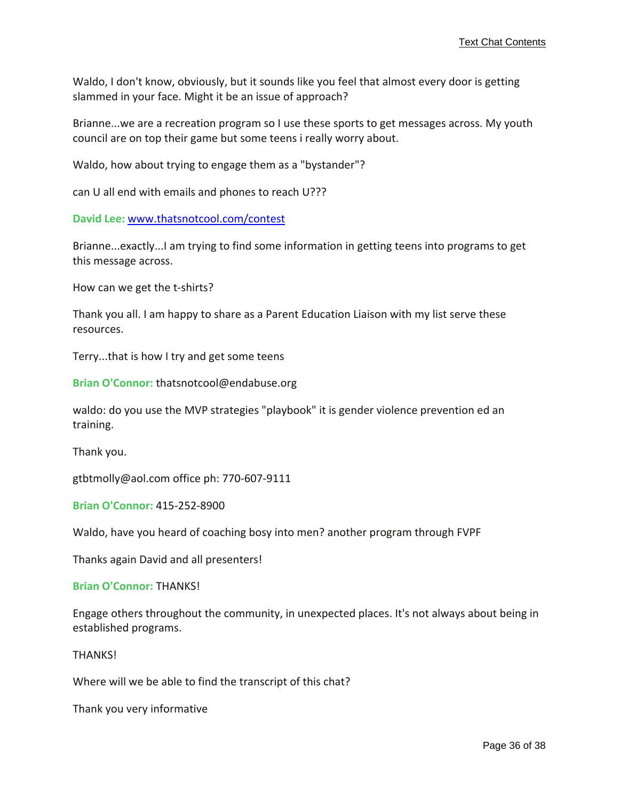Waldo, I don't know, obviously, but it sounds like you feel that almost every door is getting slammed in your face. Might it be an issue of approach?

Brianne...we are a recreation program so I use these sports to get messages across. My youth council are on top their game but some teens i really worry about.

Waldo, how about trying to engage them as a "bystander"?

can U all end with emails and phones to reach U???

**David Lee:** <www.thatsnotcool.com/contest>

Brianne...exactly...I am trying to find some information in getting teens into programs to get this message across.

How can we get the t‐shirts?

Thank you all. I am happy to share as a Parent Education Liaison with my list serve these resources.

Terry...that is how I try and get some teens

**Brian O'Connor:** thatsnotcool@endabuse.org

waldo: do you use the MVP strategies "playbook" it is gender violence prevention ed an training.

Thank you.

gtbtmolly@aol.com office ph: 770‐607‐9111

**Brian O'Connor:** 415‐252‐8900

Waldo, have you heard of coaching bosy into men? another program through FVPF

Thanks again David and all presenters!

**Brian O'Connor:** THANKS!

Engage others throughout the community, in unexpected places. It's not always about being in established programs.

THANKS!

Where will we be able to find the transcript of this chat?

Thank you very informative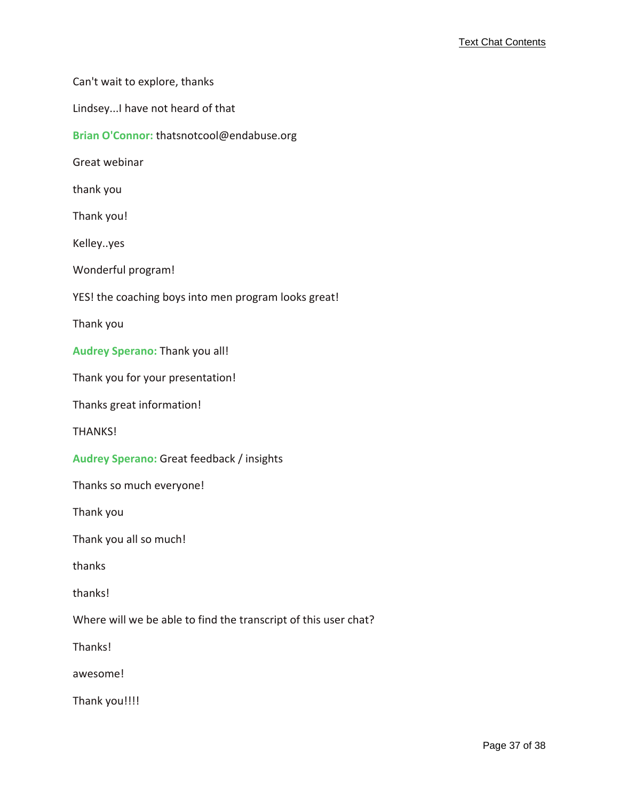Can't wait to explore, thanks

Lindsey...I have not heard of that

**Brian O'Connor:** thatsnotcool@endabuse.org

Great webinar

thank you

Thank you!

Kelley..yes

Wonderful program!

YES! the coaching boys into men program looks great!

Thank you

**Audrey Sperano:** Thank you all!

Thank you for your presentation!

Thanks great information!

THANKS!

**Audrey Sperano:** Great feedback / insights

Thanks so much everyone!

Thank you

Thank you all so much!

thanks

thanks!

Where will we be able to find the transcript of this user chat?

Thanks!

awesome!

Thank you!!!!